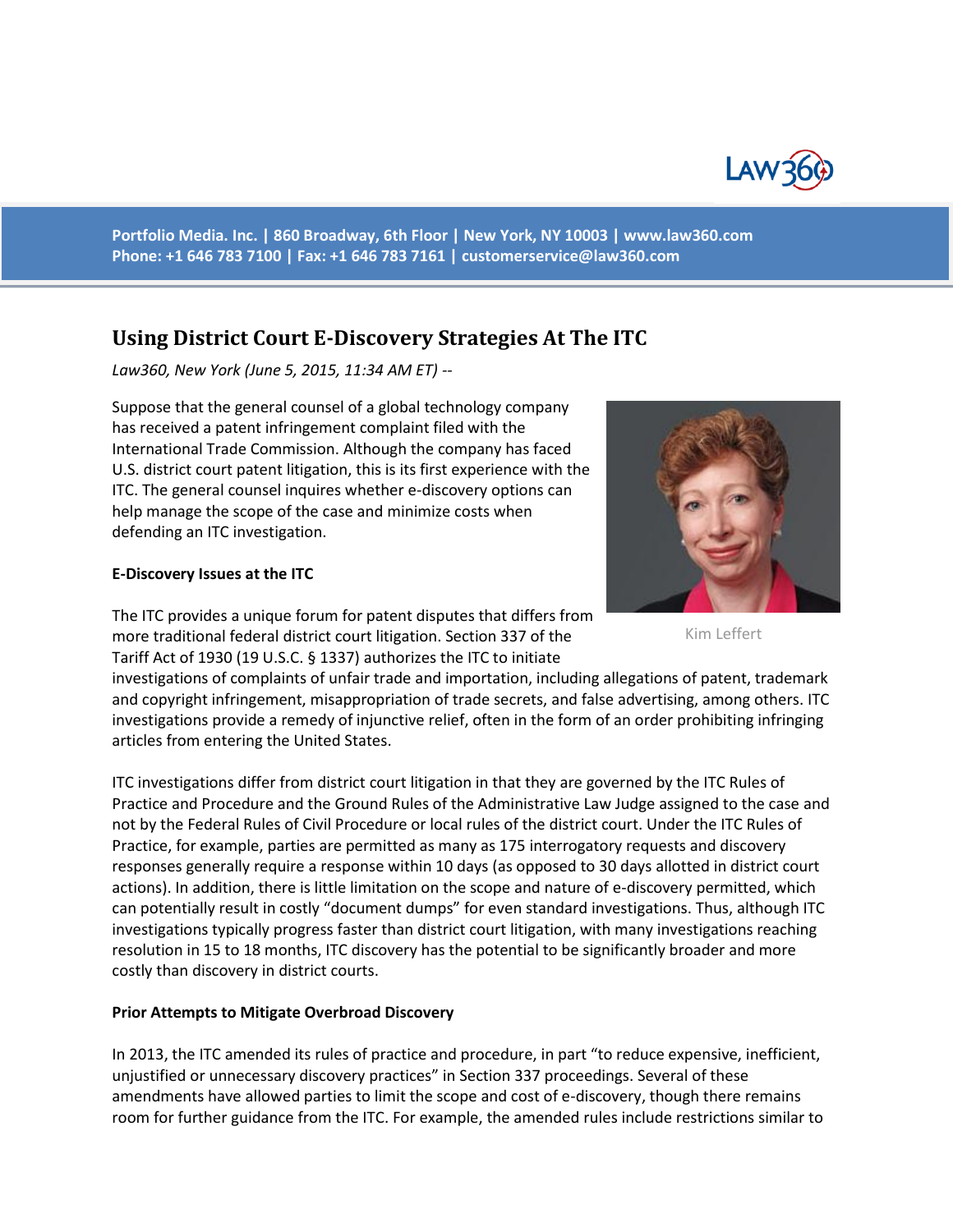

**Portfolio Media. Inc. | 860 Broadway, 6th Floor | New York, NY 10003 | www.law360.com Phone: +1 646 783 7100 | Fax: +1 646 783 7161 | [customerservice@law360.com](mailto:customerservice@law360.com)**

# **Using District Court E-Discovery Strategies At The ITC**

*Law360, New York (June 5, 2015, 11:34 AM ET) --*

Suppose that the general counsel of a global technology company has received a patent infringement complaint filed with the International Trade Commission. Although the company has faced U.S. district court patent litigation, this is its first experience with the ITC. The general counsel inquires whether e-discovery options can help manage the scope of the case and minimize costs when defending an ITC investigation.

#### **E-Discovery Issues at the ITC**



Kim Leffert

The ITC provides a unique forum for patent disputes that differs from more traditional federal district court litigation. Section 337 of the Tariff Act of 1930 (19 U.S.C. § 1337) authorizes the ITC to initiate

investigations of complaints of unfair trade and importation, including allegations of patent, trademark and copyright infringement, misappropriation of trade secrets, and false advertising, among others. ITC investigations provide a remedy of injunctive relief, often in the form of an order prohibiting infringing articles from entering the United States.

ITC investigations differ from district court litigation in that they are governed by the ITC Rules of Practice and Procedure and the Ground Rules of the Administrative Law Judge assigned to the case and not by the Federal Rules of Civil Procedure or local rules of the district court. Under the ITC Rules of Practice, for example, parties are permitted as many as 175 interrogatory requests and discovery responses generally require a response within 10 days (as opposed to 30 days allotted in district court actions). In addition, there is little limitation on the scope and nature of e-discovery permitted, which can potentially result in costly "document dumps" for even standard investigations. Thus, although ITC investigations typically progress faster than district court litigation, with many investigations reaching resolution in 15 to 18 months, ITC discovery has the potential to be significantly broader and more costly than discovery in district courts.

#### **Prior Attempts to Mitigate Overbroad Discovery**

In 2013, the ITC amended its rules of practice and procedure, in part "to reduce expensive, inefficient, unjustified or unnecessary discovery practices" in Section 337 proceedings. Several of these amendments have allowed parties to limit the scope and cost of e-discovery, though there remains room for further guidance from the ITC. For example, the amended rules include restrictions similar to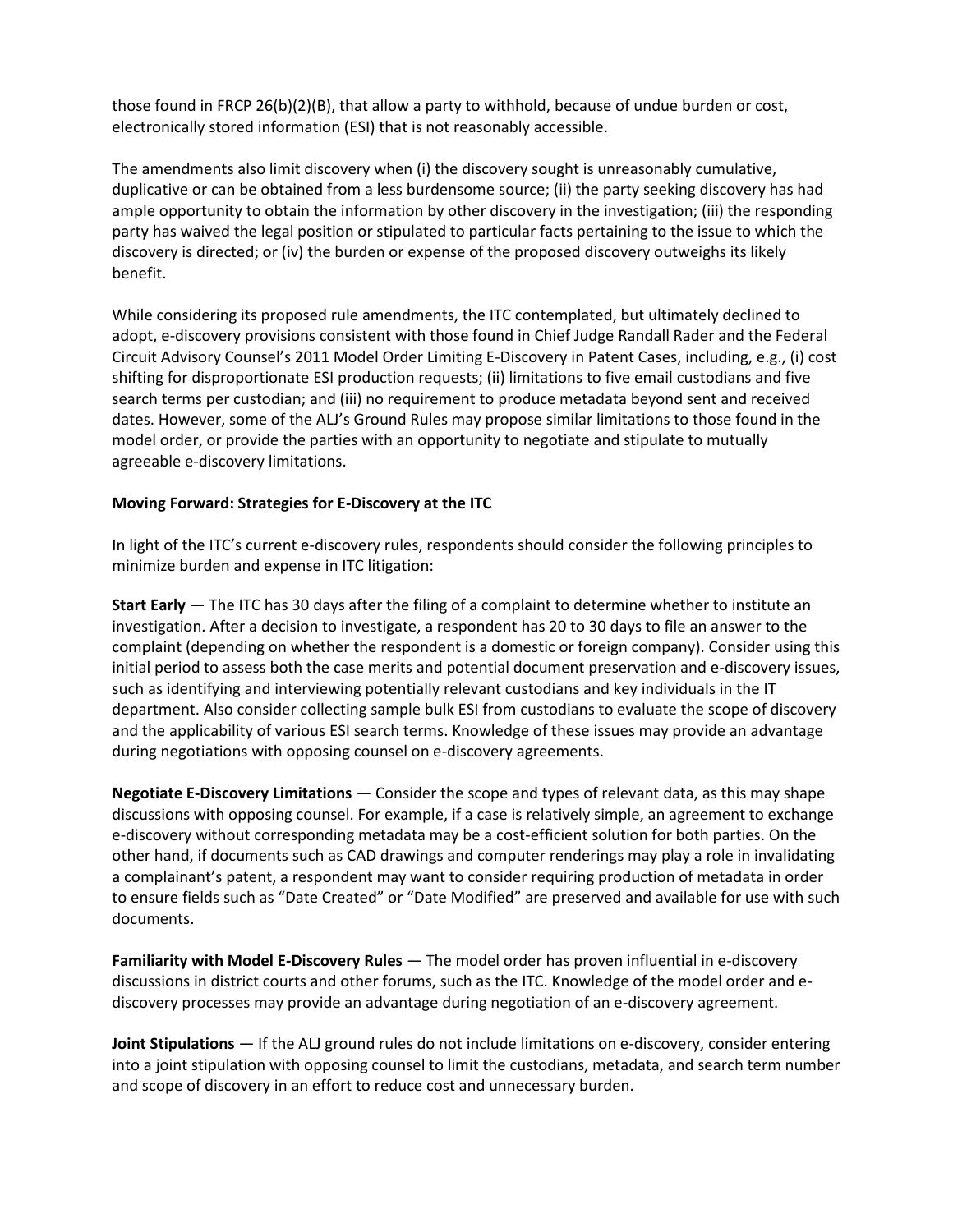those found in FRCP 26(b)(2)(B), that allow a party to withhold, because of undue burden or cost, electronically stored information (ESI) that is not reasonably accessible.

The amendments also limit discovery when (i) the discovery sought is unreasonably cumulative, duplicative or can be obtained from a less burdensome source; (ii) the party seeking discovery has had ample opportunity to obtain the information by other discovery in the investigation; (iii) the responding party has waived the legal position or stipulated to particular facts pertaining to the issue to which the discovery is directed; or (iv) the burden or expense of the proposed discovery outweighs its likely benefit.

While considering its proposed rule amendments, the ITC contemplated, but ultimately declined to adopt, e-discovery provisions consistent with those found in Chief Judge Randall Rader and the Federal Circuit Advisory Counsel's 2011 Model Order Limiting E-Discovery in Patent Cases, including, e.g., (i) cost shifting for disproportionate ESI production requests; (ii) limitations to five email custodians and five search terms per custodian; and (iii) no requirement to produce metadata beyond sent and received dates. However, some of the ALJ's Ground Rules may propose similar limitations to those found in the model order, or provide the parties with an opportunity to negotiate and stipulate to mutually agreeable e-discovery limitations.

### **Moving Forward: Strategies for E-Discovery at the ITC**

In light of the ITC's current e-discovery rules, respondents should consider the following principles to minimize burden and expense in ITC litigation:

**Start Early** — The ITC has 30 days after the filing of a complaint to determine whether to institute an investigation. After a decision to investigate, a respondent has 20 to 30 days to file an answer to the complaint (depending on whether the respondent is a domestic or foreign company). Consider using this initial period to assess both the case merits and potential document preservation and e-discovery issues, such as identifying and interviewing potentially relevant custodians and key individuals in the IT department. Also consider collecting sample bulk ESI from custodians to evaluate the scope of discovery and the applicability of various ESI search terms. Knowledge of these issues may provide an advantage during negotiations with opposing counsel on e-discovery agreements.

**Negotiate E-Discovery Limitations** — Consider the scope and types of relevant data, as this may shape discussions with opposing counsel. For example, if a case is relatively simple, an agreement to exchange e-discovery without corresponding metadata may be a cost-efficient solution for both parties. On the other hand, if documents such as CAD drawings and computer renderings may play a role in invalidating a complainant's patent, a respondent may want to consider requiring production of metadata in order to ensure fields such as "Date Created" or "Date Modified" are preserved and available for use with such documents.

**Familiarity with Model E-Discovery Rules** — The model order has proven influential in e-discovery discussions in district courts and other forums, such as the ITC. Knowledge of the model order and ediscovery processes may provide an advantage during negotiation of an e-discovery agreement.

**Joint Stipulations** — If the ALJ ground rules do not include limitations on e-discovery, consider entering into a joint stipulation with opposing counsel to limit the custodians, metadata, and search term number and scope of discovery in an effort to reduce cost and unnecessary burden.